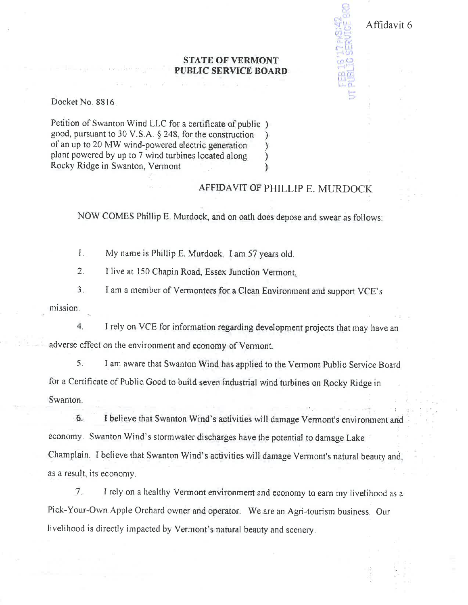## **STATE OF VERMONT PUBLIC SERVICE BOARD.**

Docket No. 8816

Petition of Swanton Wind LLC for a certificate of public) good, pursuant to 30 V.S.A. § 248, for the construction of an up to 20 MW wind-powered electric generation plant powered by up to 7 wind turbines located along Rocky Ridge in Swanton, Vermont

## AFFIDAVIT OF PHILLIP E. MURDOCK

Affidavit 6

NOW COMES Phillip E. Murdock, and on oath does depose and swear as follows:

 $\mathbf{L}$ My name is Phillip E. Murdock. I am 57 years old.

 $2.$ I live at 150 Chapin Road, Essex Junction Vermont.

 $3.$ I am a member of Vermonters for a Clean Environment and support VCE's

mission.

 $4.$ I rely on VCE for information regarding development projects that may have an adverse effect on the environment and economy of Vermont.

5. I am aware that Swanton Wind has applied to the Vermont Public Service Board for a Certificate of Public Good to build seven industrial wind turbines on Rocky Ridge in Swanton.

 $6.$ I believe that Swanton Wind's activities will damage Vermont's environment and economy. Swanton Wind's stormwater discharges have the potential to damage Lake Champlain. I believe that Swanton Wind's activities will damage Vermont's natural beauty and, as a result, its economy.

 $\overline{7}$ . I rely on a healthy Vermont environment and economy to earn my livelihood as a Pick-Your-Own Apple Orchard owner and operator. We are an Agri-tourism business. Our livelihood is directly impacted by Vermont's natural beauty and scenery.